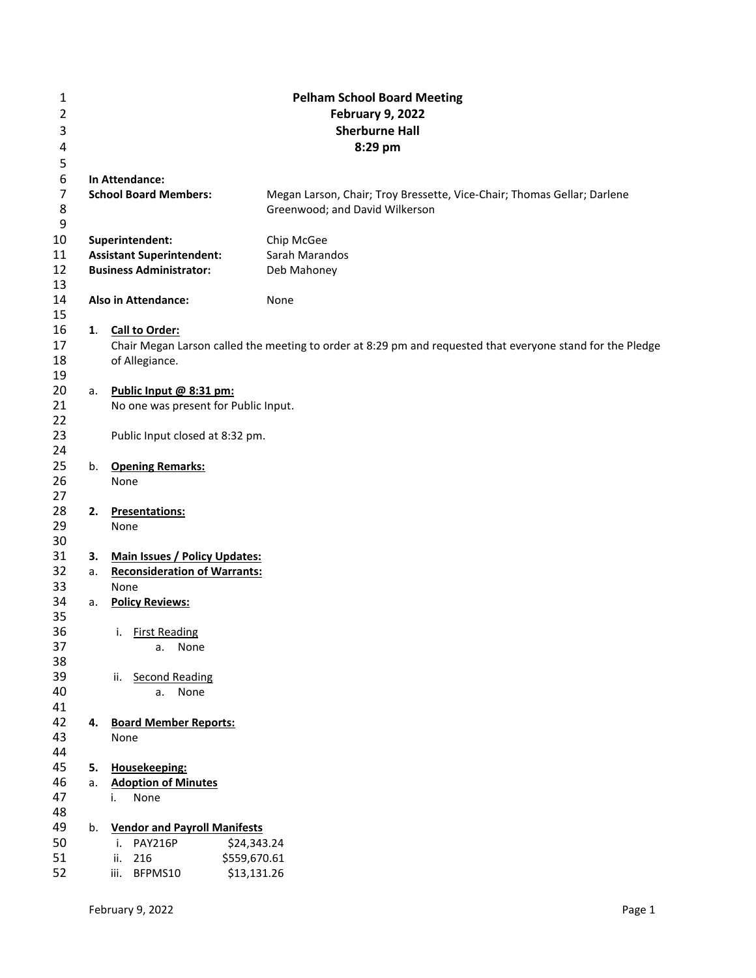| $\mathbf{1}$   |    |                                      | <b>Pelham School Board Meeting</b>                                                                         |  |  |  |  |
|----------------|----|--------------------------------------|------------------------------------------------------------------------------------------------------------|--|--|--|--|
| $\overline{2}$ |    |                                      | <b>February 9, 2022</b>                                                                                    |  |  |  |  |
| 3              |    |                                      | <b>Sherburne Hall</b>                                                                                      |  |  |  |  |
| 4              |    |                                      | 8:29 pm                                                                                                    |  |  |  |  |
| 5              |    |                                      |                                                                                                            |  |  |  |  |
| 6              |    | In Attendance:                       |                                                                                                            |  |  |  |  |
| 7              |    | <b>School Board Members:</b>         | Megan Larson, Chair; Troy Bressette, Vice-Chair; Thomas Gellar; Darlene                                    |  |  |  |  |
| 8              |    |                                      | Greenwood; and David Wilkerson                                                                             |  |  |  |  |
| 9              |    |                                      |                                                                                                            |  |  |  |  |
| 10             |    | Superintendent:                      | Chip McGee                                                                                                 |  |  |  |  |
| 11             |    | <b>Assistant Superintendent:</b>     | Sarah Marandos                                                                                             |  |  |  |  |
| 12             |    | <b>Business Administrator:</b>       | Deb Mahoney                                                                                                |  |  |  |  |
| 13             |    |                                      |                                                                                                            |  |  |  |  |
| 14             |    | <b>Also in Attendance:</b>           | None                                                                                                       |  |  |  |  |
| 15             |    |                                      |                                                                                                            |  |  |  |  |
| 16             |    | 1. Call to Order:                    |                                                                                                            |  |  |  |  |
| 17             |    |                                      | Chair Megan Larson called the meeting to order at 8:29 pm and requested that everyone stand for the Pledge |  |  |  |  |
| 18             |    | of Allegiance.                       |                                                                                                            |  |  |  |  |
| 19             |    |                                      |                                                                                                            |  |  |  |  |
| 20             | а. | Public Input @ 8:31 pm:              |                                                                                                            |  |  |  |  |
| 21             |    | No one was present for Public Input. |                                                                                                            |  |  |  |  |
| 22             |    |                                      |                                                                                                            |  |  |  |  |
| 23             |    | Public Input closed at 8:32 pm.      |                                                                                                            |  |  |  |  |
| 24             |    |                                      |                                                                                                            |  |  |  |  |
| 25             |    | b. Opening Remarks:                  |                                                                                                            |  |  |  |  |
| 26             |    | None                                 |                                                                                                            |  |  |  |  |
| 27<br>28       | 2. |                                      |                                                                                                            |  |  |  |  |
| 29             |    | <b>Presentations:</b><br>None        |                                                                                                            |  |  |  |  |
| 30             |    |                                      |                                                                                                            |  |  |  |  |
| 31             | 3. | <b>Main Issues / Policy Updates:</b> |                                                                                                            |  |  |  |  |
| 32             | a. | <b>Reconsideration of Warrants:</b>  |                                                                                                            |  |  |  |  |
| 33             |    | None                                 |                                                                                                            |  |  |  |  |
| 34             | a. | <b>Policy Reviews:</b>               |                                                                                                            |  |  |  |  |
| 35             |    |                                      |                                                                                                            |  |  |  |  |
| 36             |    | <b>First Reading</b><br>i.           |                                                                                                            |  |  |  |  |
| 37             |    | a.<br>None                           |                                                                                                            |  |  |  |  |
| 38             |    |                                      |                                                                                                            |  |  |  |  |
| 39             |    | ii. Second Reading                   |                                                                                                            |  |  |  |  |
| 40             |    | None<br>a.                           |                                                                                                            |  |  |  |  |
| 41             |    |                                      |                                                                                                            |  |  |  |  |
| 42             |    | 4. Board Member Reports:             |                                                                                                            |  |  |  |  |
| 43             |    | None                                 |                                                                                                            |  |  |  |  |
| 44             |    |                                      |                                                                                                            |  |  |  |  |
| 45             | 5. | Housekeeping:                        |                                                                                                            |  |  |  |  |
| 46             | a. | <b>Adoption of Minutes</b>           |                                                                                                            |  |  |  |  |
| 47             |    | None<br>i.                           |                                                                                                            |  |  |  |  |
| 48             |    |                                      |                                                                                                            |  |  |  |  |
| 49             | b. | <b>Vendor and Payroll Manifests</b>  |                                                                                                            |  |  |  |  |
| 50             |    | <b>PAY216P</b><br>\$24,343.24<br>i.  |                                                                                                            |  |  |  |  |
| 51             |    | \$559,670.61<br>216<br>ii.           |                                                                                                            |  |  |  |  |
| 52             |    | \$13,131.26<br>BFPMS10<br>iii.       |                                                                                                            |  |  |  |  |
|                |    |                                      |                                                                                                            |  |  |  |  |